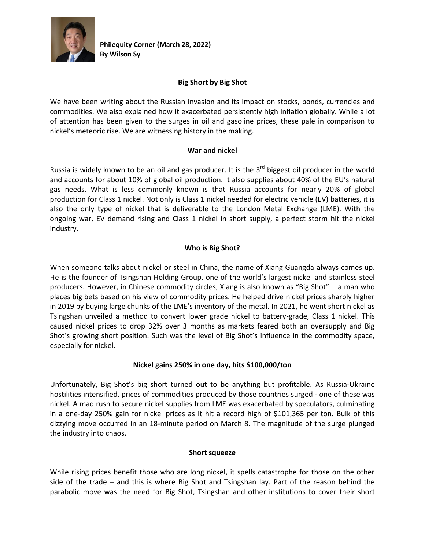

**Philequity Corner (March 28, 2022) By Wilson Sy**

# **Big Short by Big Shot**

We have been writing about the Russian invasion and its impact on stocks, bonds, currencies and commodities. We also explained how it exacerbated persistently high inflation globally. While a lot of attention has been given to the surges in oil and gasoline prices, these pale in comparison to nickel's meteoric rise. We are witnessing history in the making.

### **War and nickel**

Russia is widely known to be an oil and gas producer. It is the  $3<sup>rd</sup>$  biggest oil producer in the world and accounts for about 10% of global oil production. It also supplies about 40% of the EU's natural gas needs. What is less commonly known is that Russia accounts for nearly 20% of global production for Class 1 nickel. Not only is Class 1 nickel needed for electric vehicle (EV) batteries, it is also the only type of nickel that is deliverable to the London Metal Exchange (LME). With the ongoing war, EV demand rising and Class 1 nickel in short supply, a perfect storm hit the nickel industry.

## **Who is Big Shot?**

When someone talks about nickel or steel in China, the name of Xiang Guangda always comes up. He is the founder of Tsingshan Holding Group, one of the world's largest nickel and stainless steel producers. However, in Chinese commodity circles, Xiang is also known as "Big Shot" – a man who places big bets based on his view of commodity prices. He helped drive nickel prices sharply higher in 2019 by buying large chunks of the LME's inventory of the metal. In 2021, he went short nickel as Tsingshan unveiled a method to convert lower grade nickel to battery-grade, Class 1 nickel. This caused nickel prices to drop 32% over 3 months as markets feared both an oversupply and Big Shot's growing short position. Such was the level of Big Shot's influence in the commodity space, especially for nickel.

### **Nickel gains 250% in one day, hits \$100,000/ton**

Unfortunately, Big Shot's big short turned out to be anything but profitable. As Russia-Ukraine hostilities intensified, prices of commodities produced by those countries surged - one of these was nickel. A mad rush to secure nickel supplies from LME was exacerbated by speculators, culminating in a one-day 250% gain for nickel prices as it hit a record high of \$101,365 per ton. Bulk of this dizzying move occurred in an 18-minute period on March 8. The magnitude of the surge plunged the industry into chaos.

### **Short squeeze**

While rising prices benefit those who are long nickel, it spells catastrophe for those on the other side of the trade – and this is where Big Shot and Tsingshan lay. Part of the reason behind the parabolic move was the need for Big Shot, Tsingshan and other institutions to cover their short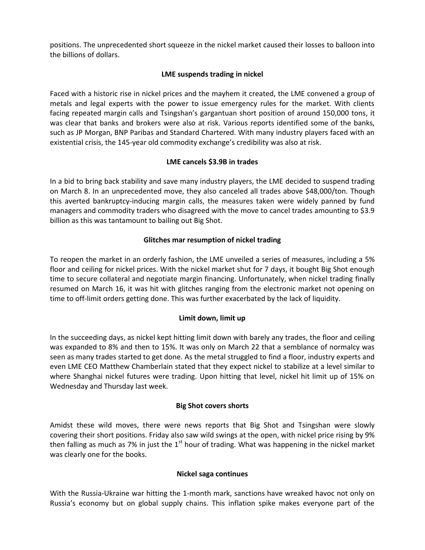positions. The unprecedented short squeeze in the nickel market caused their losses to balloon into the billions of dollars.

### **LME suspends trading in nickel**

Faced with a historic rise in nickel prices and the mayhem it created, the LME convened a group of metals and legal experts with the power to issue emergency rules for the market. With clients facing repeated margin calls and Tsingshan's gargantuan short position of around 150,000 tons, it was clear that banks and brokers were also at risk. Various reports identified some of the banks, such as JP Morgan, BNP Paribas and Standard Chartered. With many industry players faced with an existential crisis, the 145-year old commodity exchange's credibility was also at risk.

### **LME cancels \$3.9B in trades**

In a bid to bring back stability and save many industry players, the LME decided to suspend trading on March 8. In an unprecedented move, they also canceled all trades above \$48,000/ton. Though this averted bankruptcy-inducing margin calls, the measures taken were widely panned by fund managers and commodity traders who disagreed with the move to cancel trades amounting to \$3.9 billion as this was tantamount to bailing out Big Shot.

### **Glitches mar resumption of nickel trading**

To reopen the market in an orderly fashion, the LME unveiled a series of measures, including a 5% floor and ceiling for nickel prices. With the nickel market shut for 7 days, it bought Big Shot enough time to secure collateral and negotiate margin financing. Unfortunately, when nickel trading finally resumed on March 16, it was hit with glitches ranging from the electronic market not opening on time to off-limit orders getting done. This was further exacerbated by the lack of liquidity.

### **Limit down, limit up**

In the succeeding days, as nickel kept hitting limit down with barely any trades, the floor and ceiling was expanded to 8% and then to 15%. It was only on March 22 that a semblance of normalcy was seen as many trades started to get done. As the metal struggled to find a floor, industry experts and even LME CEO Matthew Chamberlain stated that they expect nickel to stabilize at a level similar to where Shanghai nickel futures were trading. Upon hitting that level, nickel hit limit up of 15% on Wednesday and Thursday last week.

### **Big Shot covers shorts**

Amidst these wild moves, there were news reports that Big Shot and Tsingshan were slowly covering their short positions. Friday also saw wild swings at the open, with nickel price rising by 9% then falling as much as 7% in just the  $1<sup>st</sup>$  hour of trading. What was happening in the nickel market was clearly one for the books.

### **Nickel saga continues**

With the Russia-Ukraine war hitting the 1-month mark, sanctions have wreaked havoc not only on Russia's economy but on global supply chains. This inflation spike makes everyone part of the